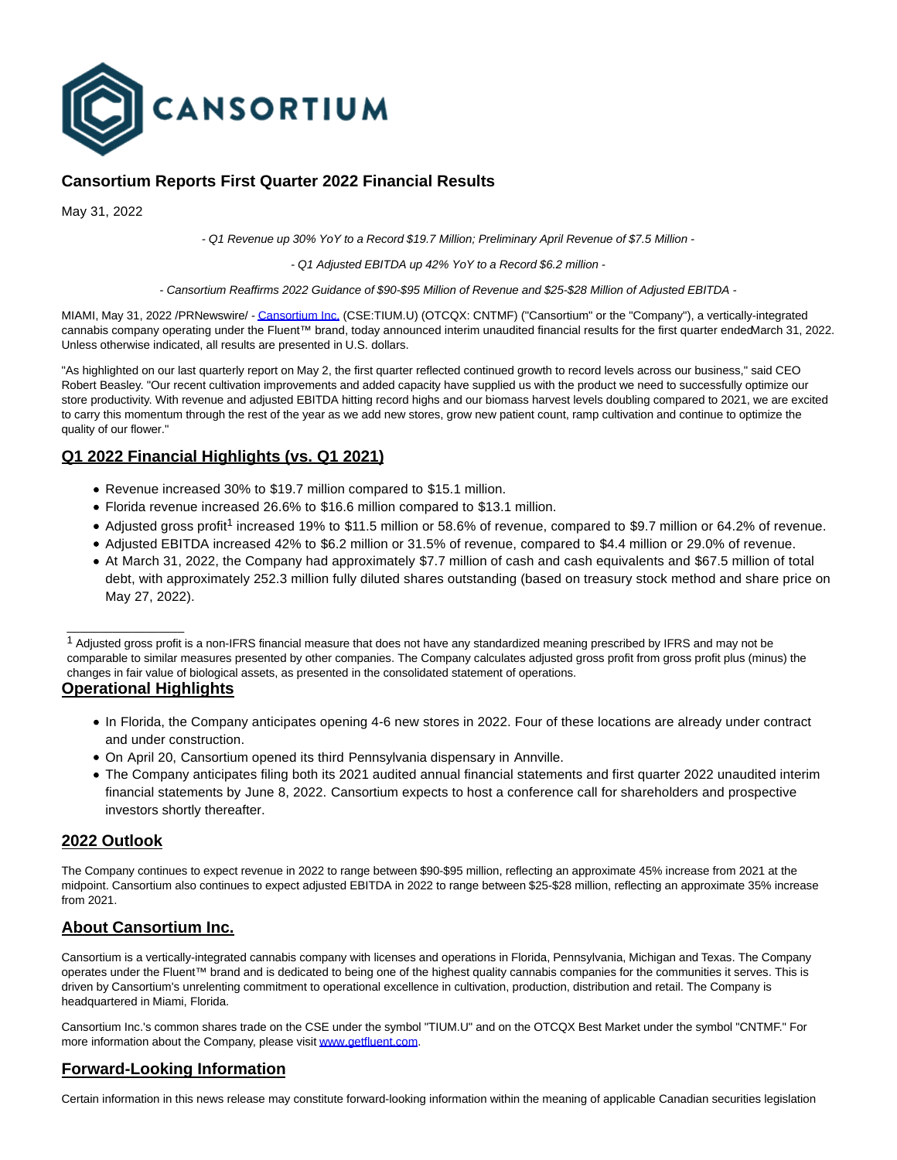

# **Cansortium Reports First Quarter 2022 Financial Results**

May 31, 2022

- Q1 Revenue up 30% YoY to a Record \$19.7 Million; Preliminary April Revenue of \$7.5 Million -

#### - Q1 Adjusted EBITDA up 42% YoY to a Record \$6.2 million -

- Cansortium Reaffirms 2022 Guidance of \$90-\$95 Million of Revenue and \$25-\$28 Million of Adjusted EBITDA -

MIAMI, May 31, 2022 /PRNewswire/ [- Cansortium Inc. \(](https://c212.net/c/link/?t=0&l=en&o=3552255-1&h=3732459627&u=http%3A%2F%2Fwww.getfluent.com%2F&a=Cansortium+Inc.)CSE:TIUM.U) (OTCQX: CNTMF) ("Cansortium" or the "Company"), a vertically-integrated cannabis company operating under the Fluent™ brand, today announced interim unaudited financial results for the first quarter ended March 31, 2022. Unless otherwise indicated, all results are presented in U.S. dollars.

"As highlighted on our last quarterly report on May 2, the first quarter reflected continued growth to record levels across our business," said CEO Robert Beasley. "Our recent cultivation improvements and added capacity have supplied us with the product we need to successfully optimize our store productivity. With revenue and adjusted EBITDA hitting record highs and our biomass harvest levels doubling compared to 2021, we are excited to carry this momentum through the rest of the year as we add new stores, grow new patient count, ramp cultivation and continue to optimize the quality of our flower."

# **Q1 2022 Financial Highlights (vs. Q1 2021)**

- Revenue increased 30% to \$19.7 million compared to \$15.1 million.
- Florida revenue increased 26.6% to \$16.6 million compared to \$13.1 million.
- Adjusted gross profit<sup>1</sup> increased 19% to \$11.5 million or 58.6% of revenue, compared to \$9.7 million or 64.2% of revenue.
- Adjusted EBITDA increased 42% to \$6.2 million or 31.5% of revenue, compared to \$4.4 million or 29.0% of revenue.
- At March 31, 2022, the Company had approximately \$7.7 million of cash and cash equivalents and \$67.5 million of total debt, with approximately 252.3 million fully diluted shares outstanding (based on treasury stock method and share price on May 27, 2022).

<sup>1</sup> Adjusted gross profit is a non-IFRS financial measure that does not have any standardized meaning prescribed by IFRS and may not be comparable to similar measures presented by other companies. The Company calculates adjusted gross profit from gross profit plus (minus) the changes in fair value of biological assets, as presented in the consolidated statement of operations.

### **Operational Highlights**

 $\_$ 

- In Florida, the Company anticipates opening 4-6 new stores in 2022. Four of these locations are already under contract and under construction.
- On April 20, Cansortium opened its third Pennsylvania dispensary in Annville.
- The Company anticipates filing both its 2021 audited annual financial statements and first quarter 2022 unaudited interim financial statements by June 8, 2022. Cansortium expects to host a conference call for shareholders and prospective investors shortly thereafter.

## **2022 Outlook**

The Company continues to expect revenue in 2022 to range between \$90-\$95 million, reflecting an approximate 45% increase from 2021 at the midpoint. Cansortium also continues to expect adjusted EBITDA in 2022 to range between \$25-\$28 million, reflecting an approximate 35% increase from 2021.

# **About Cansortium Inc.**

Cansortium is a vertically-integrated cannabis company with licenses and operations in Florida, Pennsylvania, Michigan and Texas. The Company operates under the Fluent™ brand and is dedicated to being one of the highest quality cannabis companies for the communities it serves. This is driven by Cansortium's unrelenting commitment to operational excellence in cultivation, production, distribution and retail. The Company is headquartered in Miami, Florida.

Cansortium Inc.'s common shares trade on the CSE under the symbol "TIUM.U" and on the OTCQX Best Market under the symbol "CNTMF." For more information about the Company, please visi[t www.getfluent.com.](https://c212.net/c/link/?t=0&l=en&o=3552255-1&h=2789288689&u=http%3A%2F%2Fwww.getfluent.com%2F&a=www.getfluent.com)

# **Forward-Looking Information**

Certain information in this news release may constitute forward-looking information within the meaning of applicable Canadian securities legislation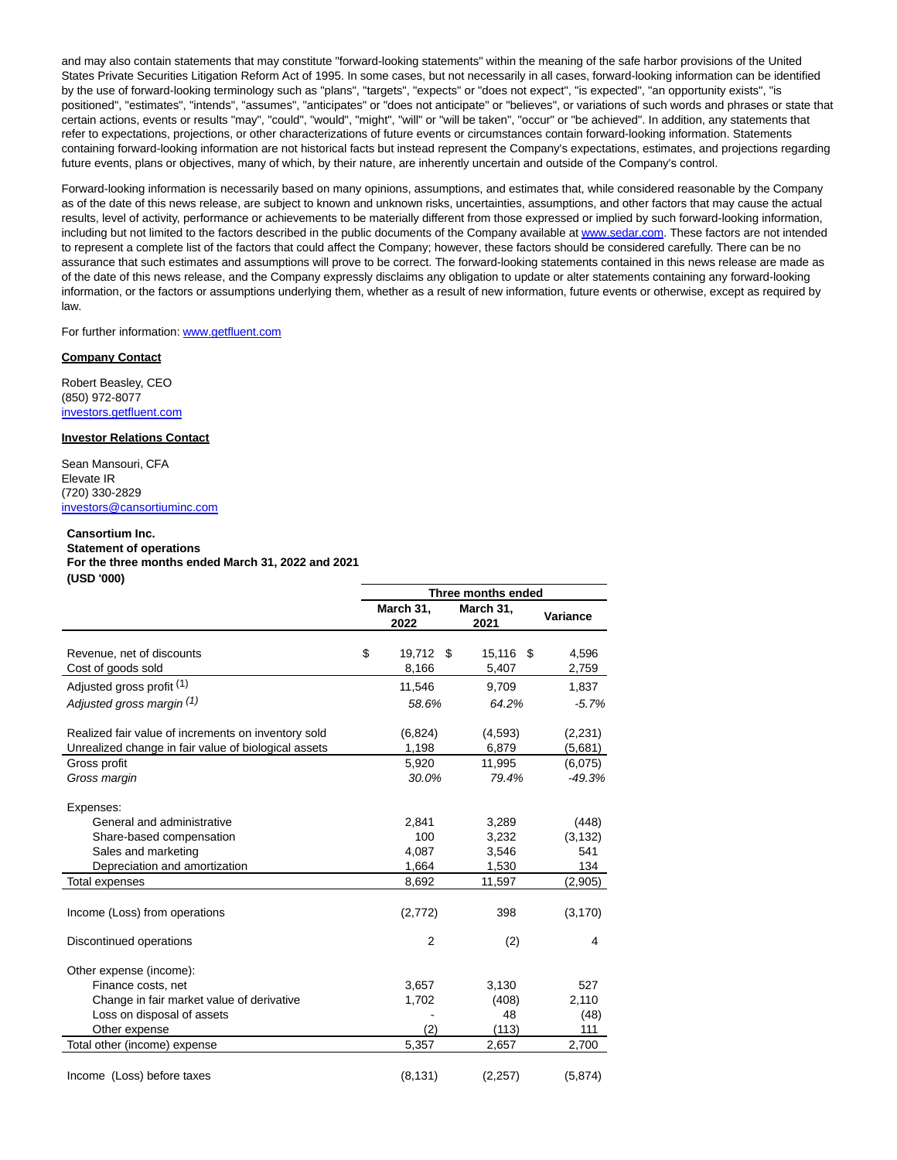and may also contain statements that may constitute "forward-looking statements" within the meaning of the safe harbor provisions of the United States Private Securities Litigation Reform Act of 1995. In some cases, but not necessarily in all cases, forward-looking information can be identified by the use of forward-looking terminology such as "plans", "targets", "expects" or "does not expect", "is expected", "an opportunity exists", "is positioned", "estimates", "intends", "assumes", "anticipates" or "does not anticipate" or "believes", or variations of such words and phrases or state that certain actions, events or results "may", "could", "would", "might", "will" or "will be taken", "occur" or "be achieved". In addition, any statements that refer to expectations, projections, or other characterizations of future events or circumstances contain forward-looking information. Statements containing forward-looking information are not historical facts but instead represent the Company's expectations, estimates, and projections regarding future events, plans or objectives, many of which, by their nature, are inherently uncertain and outside of the Company's control.

Forward-looking information is necessarily based on many opinions, assumptions, and estimates that, while considered reasonable by the Company as of the date of this news release, are subject to known and unknown risks, uncertainties, assumptions, and other factors that may cause the actual results, level of activity, performance or achievements to be materially different from those expressed or implied by such forward-looking information, including but not limited to the factors described in the public documents of the Company available a[t www.sedar.com.](http://www.sedar.com/) These factors are not intended to represent a complete list of the factors that could affect the Company; however, these factors should be considered carefully. There can be no assurance that such estimates and assumptions will prove to be correct. The forward-looking statements contained in this news release are made as of the date of this news release, and the Company expressly disclaims any obligation to update or alter statements containing any forward-looking information, or the factors or assumptions underlying them, whether as a result of new information, future events or otherwise, except as required by law.

For further information: [www.getfluent.com](https://c212.net/c/link/?t=0&l=en&o=3552255-1&h=2789288689&u=http%3A%2F%2Fwww.getfluent.com%2F&a=www.getfluent.com)

#### **Company Contact**

Robert Beasley, CEO (850) 972-8077 [investors.getfluent.com](https://c212.net/c/link/?t=0&l=en&o=3552255-1&h=3751662989&u=https%3A%2F%2Finvestors.getfluent.com%2F&a=investors.getfluent.com)

#### **Investor Relations Contact**

Sean Mansouri, CFA Elevate IR (720) 330-2829 [investors@cansortiuminc.com](mailto:investors@cansortiuminc.com)

#### **Cansortium Inc.**

**Statement of operations For the three months ended March 31, 2022 and 2021 (USD '000)**

| <b>OUD UDU</b>                                                                                              |    |                    |                   |                    |  |
|-------------------------------------------------------------------------------------------------------------|----|--------------------|-------------------|--------------------|--|
|                                                                                                             |    | Three months ended |                   |                    |  |
|                                                                                                             |    | March 31,<br>2022  | March 31,<br>2021 | Variance           |  |
| Revenue, net of discounts                                                                                   | \$ | 19,712<br>\$       | 15,116 \$         | 4,596              |  |
| Cost of goods sold                                                                                          |    | 8,166              | 5,407             | 2,759              |  |
| Adjusted gross profit (1)                                                                                   |    | 11,546             | 9,709             | 1,837              |  |
| Adjusted gross margin (1)                                                                                   |    | 58.6%              | 64.2%             | $-5.7%$            |  |
| Realized fair value of increments on inventory sold<br>Unrealized change in fair value of biological assets |    | (6, 824)<br>1,198  | (4,593)<br>6,879  | (2,231)<br>(5,681) |  |
| Gross profit                                                                                                |    | 5,920              | 11,995            | (6,075)            |  |
| Gross margin                                                                                                |    | 30.0%              | 79.4%             | $-49.3%$           |  |
| Expenses:                                                                                                   |    |                    |                   |                    |  |
| General and administrative                                                                                  |    | 2,841              | 3,289             | (448)              |  |
| Share-based compensation                                                                                    |    | 100                | 3,232             | (3, 132)           |  |
| Sales and marketing                                                                                         |    | 4,087              | 3,546             | 541                |  |
| Depreciation and amortization                                                                               |    | 1,664              | 1,530             | 134                |  |
| Total expenses                                                                                              |    | 8,692              | 11,597            | (2,905)            |  |
| Income (Loss) from operations                                                                               |    | (2,772)            | 398               | (3, 170)           |  |
| Discontinued operations                                                                                     |    | 2                  | (2)               | 4                  |  |
| Other expense (income):                                                                                     |    |                    |                   |                    |  |
| Finance costs, net                                                                                          |    | 3,657              | 3,130             | 527                |  |
| Change in fair market value of derivative                                                                   |    | 1,702              | (408)             | 2,110              |  |
| Loss on disposal of assets                                                                                  |    |                    | 48                | (48)               |  |
| Other expense                                                                                               |    | (2)                | (113)             | 111                |  |
| Total other (income) expense                                                                                |    | 5,357              | 2,657             | 2,700              |  |
| Income (Loss) before taxes                                                                                  |    | (8, 131)           | (2, 257)          | (5, 874)           |  |